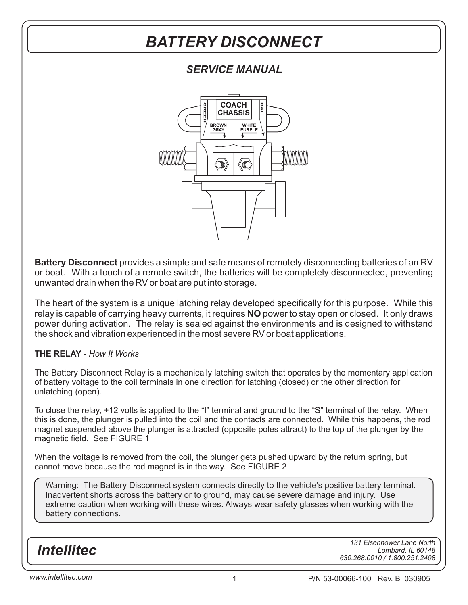### *SERVICE MANUAL*



**Battery Disconnect** provides a simple and safe means of remotely disconnecting batteries of an RV or boat. With a touch of a remote switch, the batteries will be completely disconnected, preventing unwanted drain when the RV or boat are put into storage.

relay is capable of carrying heavy currents, it requires **NO** power to stay open or closed. It only draws The heart of the system is a unique latching relay developed specifically for this purpose. While this power during activation. The relay is sealed against the environments and is designed to withstand the shock and vibration experienced in the most severe RV or boat applications.

#### **THE RELAY** - *How It Works*

The Battery Disconnect Relay is a mechanically latching switch that operates by the momentary application of battery voltage to the coil terminals in one direction for latching (closed) or the other direction for unlatching (open).

To close the relay, +12 volts is applied to the "I" terminal and ground to the "S" terminal of the relay. When this is done, the plunger is pulled into the coil and the contacts are connected. While this happens, the rod magnet suspended above the plunger is attracted (opposite poles attract) to the top of the plunger by the magnetic field. See FIGURE 1

When the voltage is removed from the coil, the plunger gets pushed upward by the return spring, but cannot move because the rod magnet is in the way. See FIGURE 2

Warning: The Battery Disconnect system connects directly to the vehicle's positive battery terminal. Inadvertent shorts across the battery or to ground, may cause severe damage and injury. Use extreme caution when working with these wires. Always wear safety glasses when working with the battery connections.

*Intellitec*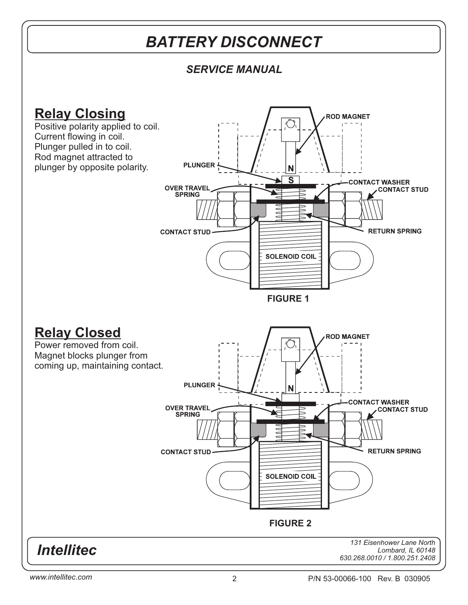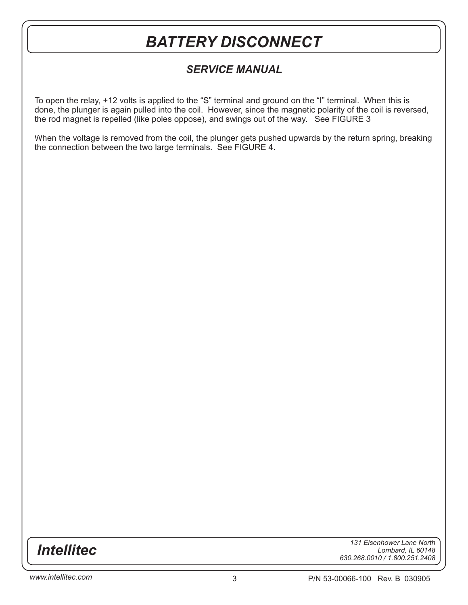### *SERVICE MANUAL*

To open the relay, +12 volts is applied to the "S" terminal and ground on the "I" terminal. When this is done, the plunger is again pulled into the coil. However, since the magnetic polarity of the coil is reversed, the rod magnet is repelled (like poles oppose), and swings out of the way. See FIGURE 3

When the voltage is removed from the coil, the plunger gets pushed upwards by the return spring, breaking the connection between the two large terminals. See FIGURE 4.

*Intellitec*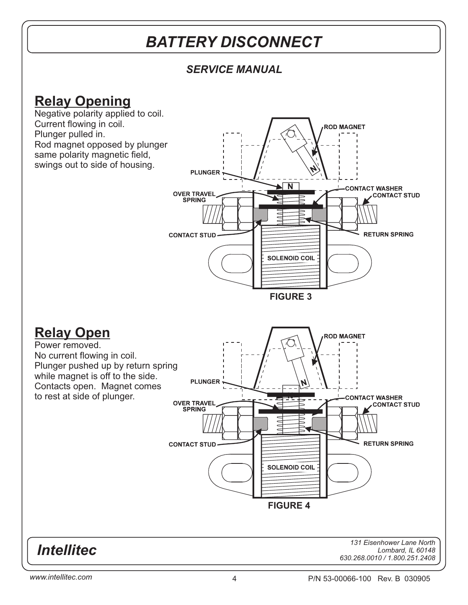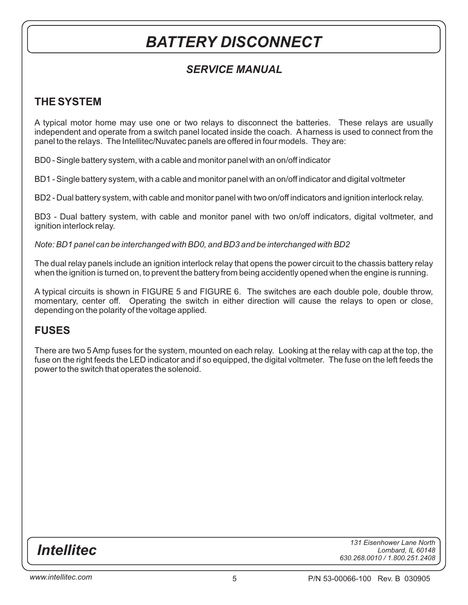### *SERVICE MANUAL*

### **THE SYSTEM**

A typical motor home may use one or two relays to disconnect the batteries. These relays are usually independent and operate from a switch panel located inside the coach. A harness is used to connect from the panel to the relays. The Intellitec/Nuvatec panels are offered in four models. They are:

BD0 - Single battery system, with a cable and monitor panel with an on/off indicator

BD1 - Single battery system, with a cable and monitor panel with an on/off indicator and digital voltmeter

BD2 - Dual battery system, with cable and monitor panel with two on/off indicators and ignition interlock relay.

BD3 - Dual battery system, with cable and monitor panel with two on/off indicators, digital voltmeter, and ignition interlock relay.

*Note: BD1 panel can be interchanged with BD0, and BD3 and be interchanged with BD2*

The dual relay panels include an ignition interlock relay that opens the power circuit to the chassis battery relay when the ignition is turned on, to prevent the battery from being accidently opened when the engine is running.

A typical circuits is shown in FIGURE 5 and FIGURE 6. The switches are each double pole, double throw, momentary, center off. Operating the switch in either direction will cause the relays to open or close, depending on the polarity of the voltage applied.

#### **FUSES**

There are two 5 Amp fuses for the system, mounted on each relay. Looking at the relay with cap at the top, the fuse on the right feeds the LED indicator and if so equipped, the digital voltmeter. The fuse on the left feeds the power to the switch that operates the solenoid.

*Intellitec*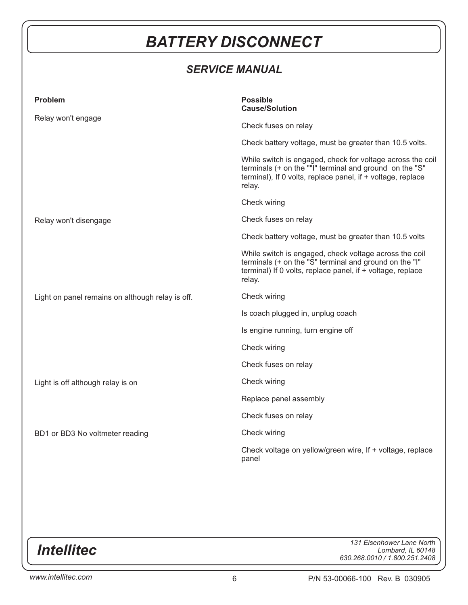## *SERVICE MANUAL*

| <b>Problem</b>                                   | <b>Possible</b>                                                                                                                                                                                |
|--------------------------------------------------|------------------------------------------------------------------------------------------------------------------------------------------------------------------------------------------------|
|                                                  | <b>Cause/Solution</b>                                                                                                                                                                          |
| Relay won't engage                               | Check fuses on relay                                                                                                                                                                           |
|                                                  | Check battery voltage, must be greater than 10.5 volts.                                                                                                                                        |
|                                                  | While switch is engaged, check for voltage across the coil<br>terminals (+ on the ""I" terminal and ground on the "S"<br>terminal), If 0 volts, replace panel, if + voltage, replace<br>relay. |
|                                                  | Check wiring                                                                                                                                                                                   |
| Relay won't disengage                            | Check fuses on relay                                                                                                                                                                           |
|                                                  | Check battery voltage, must be greater than 10.5 volts                                                                                                                                         |
|                                                  | While switch is engaged, check voltage across the coil<br>terminals (+ on the "S" terminal and ground on the "I"<br>terminal) If 0 volts, replace panel, if + voltage, replace<br>relay.       |
| Light on panel remains on although relay is off. | Check wiring                                                                                                                                                                                   |
|                                                  | Is coach plugged in, unplug coach                                                                                                                                                              |
|                                                  | Is engine running, turn engine off                                                                                                                                                             |
|                                                  | Check wiring                                                                                                                                                                                   |
|                                                  | Check fuses on relay                                                                                                                                                                           |
| Light is off although relay is on                | Check wiring                                                                                                                                                                                   |
|                                                  | Replace panel assembly                                                                                                                                                                         |
|                                                  | Check fuses on relay                                                                                                                                                                           |
| BD1 or BD3 No voltmeter reading                  | Check wiring                                                                                                                                                                                   |
|                                                  | Check voltage on yellow/green wire, If + voltage, replace<br>panel                                                                                                                             |

*Intellitec*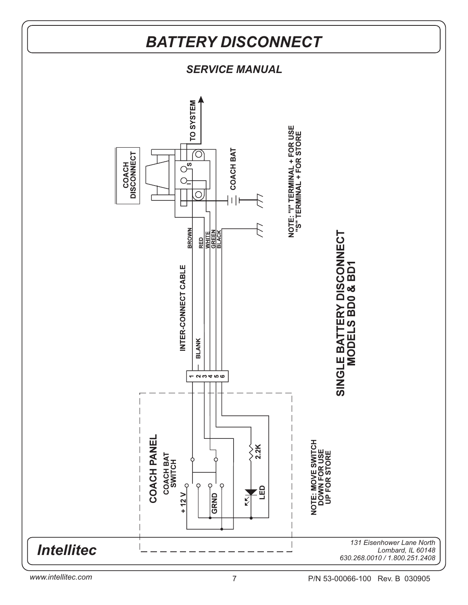